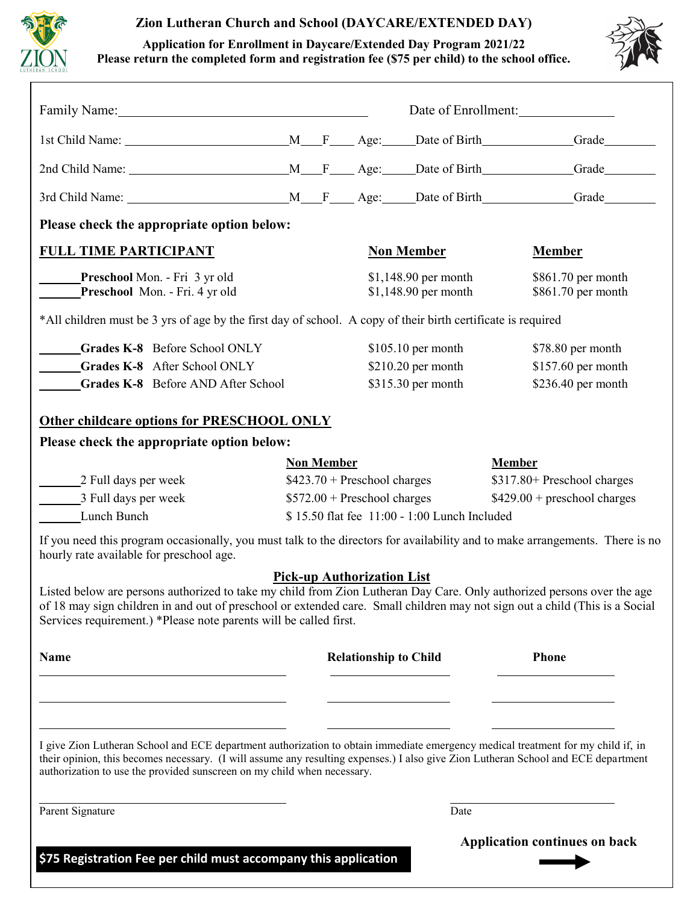

## **Zion Lutheran Church and School (DAYCARE/EXTENDED DAY)**

**Application for Enrollment in Daycare/Extended Day Program 2021/22 Please return the completed form and registration fee (\$75 per child) to the school office.** 



|                                                                                                                                                                                                                                                                                                                                                   |  |                                                | Date of Enrollment:               |                                                                  |                                                                |  |  |
|---------------------------------------------------------------------------------------------------------------------------------------------------------------------------------------------------------------------------------------------------------------------------------------------------------------------------------------------------|--|------------------------------------------------|-----------------------------------|------------------------------------------------------------------|----------------------------------------------------------------|--|--|
|                                                                                                                                                                                                                                                                                                                                                   |  |                                                |                                   |                                                                  |                                                                |  |  |
|                                                                                                                                                                                                                                                                                                                                                   |  |                                                |                                   |                                                                  |                                                                |  |  |
|                                                                                                                                                                                                                                                                                                                                                   |  |                                                |                                   |                                                                  |                                                                |  |  |
| Please check the appropriate option below:                                                                                                                                                                                                                                                                                                        |  |                                                |                                   |                                                                  |                                                                |  |  |
| <b>FULL TIME PARTICIPANT</b>                                                                                                                                                                                                                                                                                                                      |  | <b>Non Member</b>                              |                                   |                                                                  | <b>Member</b>                                                  |  |  |
| <b>Preschool</b> Mon. - Fri 3 yr old<br>Preschool Mon. - Fri. 4 yr old                                                                                                                                                                                                                                                                            |  | $$1,148.90$ per month<br>$$1,148.90$ per month |                                   |                                                                  | \$861.70 per month<br>$$861.70$ per month                      |  |  |
| *All children must be 3 yrs of age by the first day of school. A copy of their birth certificate is required                                                                                                                                                                                                                                      |  |                                                |                                   |                                                                  |                                                                |  |  |
| Grades K-8 Before School ONLY<br>Grades K-8 After School ONLY<br>Grades K-8 Before AND After School                                                                                                                                                                                                                                               |  |                                                |                                   | $$105.10$ per month<br>$$210.20$ per month<br>\$315.30 per month | \$78.80 per month<br>$$157.60$ per month<br>\$236.40 per month |  |  |
| Other childcare options for PRESCHOOL ONLY<br>Please check the appropriate option below:                                                                                                                                                                                                                                                          |  |                                                |                                   |                                                                  |                                                                |  |  |
|                                                                                                                                                                                                                                                                                                                                                   |  | <b>Non Member</b>                              |                                   |                                                                  | <b>Member</b>                                                  |  |  |
| 2 Full days per week                                                                                                                                                                                                                                                                                                                              |  |                                                | $$423.70 + Preschool charges$     |                                                                  | \$317.80+ Preschool charges                                    |  |  |
| 3 Full days per week                                                                                                                                                                                                                                                                                                                              |  |                                                | $$572.00 + Preschool charges$     |                                                                  | $$429.00 + preschool charges$                                  |  |  |
| Lunch Bunch                                                                                                                                                                                                                                                                                                                                       |  |                                                |                                   | \$15.50 flat fee 11:00 - 1:00 Lunch Included                     |                                                                |  |  |
| If you need this program occasionally, you must talk to the directors for availability and to make arrangements. There is no<br>hourly rate available for preschool age.                                                                                                                                                                          |  |                                                |                                   |                                                                  |                                                                |  |  |
| Listed below are persons authorized to take my child from Zion Lutheran Day Care. Only authorized persons over the age<br>of 18 may sign children in and out of preschool or extended care. Small children may not sign out a child (This is a Social<br>Services requirement.) *Please note parents will be called first.                        |  |                                                | <b>Pick-up Authorization List</b> |                                                                  |                                                                |  |  |
| Name                                                                                                                                                                                                                                                                                                                                              |  |                                                | <b>Relationship to Child</b>      |                                                                  | <b>Phone</b>                                                   |  |  |
|                                                                                                                                                                                                                                                                                                                                                   |  |                                                |                                   |                                                                  |                                                                |  |  |
|                                                                                                                                                                                                                                                                                                                                                   |  |                                                |                                   |                                                                  |                                                                |  |  |
| I give Zion Lutheran School and ECE department authorization to obtain immediate emergency medical treatment for my child if, in<br>their opinion, this becomes necessary. (I will assume any resulting expenses.) I also give Zion Lutheran School and ECE department<br>authorization to use the provided sunscreen on my child when necessary. |  |                                                |                                   |                                                                  |                                                                |  |  |
| Parent Signature                                                                                                                                                                                                                                                                                                                                  |  |                                                |                                   | Date                                                             |                                                                |  |  |